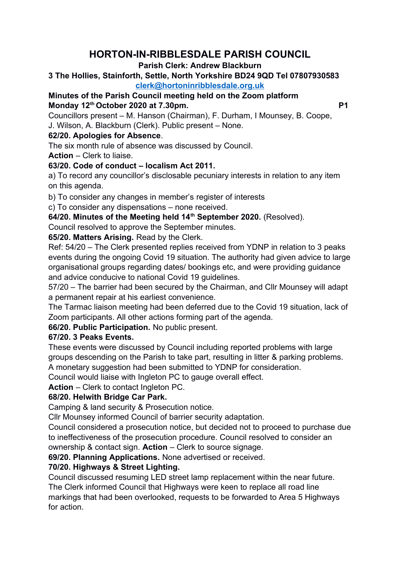# **HORTON-IN-RIBBLESDALE PARISH COUNCIL**

#### **Parish Clerk: Andrew Blackburn**

#### **3 The Hollies, Stainforth, Settle, North Yorkshire BD24 9QD Tel 07807930583 [clerk@hortoninribblesdale.org.uk](mailto:clerk@hortoninribblesdale.org.uk)**

# **Minutes of the Parish Council meeting held on the Zoom platform Monday 12th October 2020 at 7.30pm. P1**

Councillors present – M. Hanson (Chairman), F. Durham, I Mounsey, B. Coope, J. Wilson, A. Blackburn (Clerk). Public present – None.

## **62/20. Apologies for Absence**.

The six month rule of absence was discussed by Council.

**Action** – Clerk to liaise.

# **63/20. Code of conduct – localism Act 2011.**

a) To record any councillor's disclosable pecuniary interests in relation to any item on this agenda.

b) To consider any changes in member's register of interests

c) To consider any dispensations – none received.

# **64/20. Minutes of the Meeting held 14th September 2020.** (Resolved).

Council resolved to approve the September minutes.

#### **65/20. Matters Arising.** Read by the Clerk.

Ref: 54/20 – The Clerk presented replies received from YDNP in relation to 3 peaks events during the ongoing Covid 19 situation. The authority had given advice to large organisational groups regarding dates/ bookings etc, and were providing guidance and advice conducive to national Covid 19 guidelines.

57/20 – The barrier had been secured by the Chairman, and Cllr Mounsey will adapt a permanent repair at his earliest convenience.

The Tarmac liaison meeting had been deferred due to the Covid 19 situation, lack of Zoom participants. All other actions forming part of the agenda.

**66/20. Public Participation.** No public present.

# **67/20. 3 Peaks Events.**

These events were discussed by Council including reported problems with large groups descending on the Parish to take part, resulting in litter & parking problems.

A monetary suggestion had been submitted to YDNP for consideration.

Council would liaise with Ingleton PC to gauge overall effect.

**Action** – Clerk to contact Ingleton PC.

#### **68/20. Helwith Bridge Car Park.**

Camping & land security & Prosecution notice.

Cllr Mounsey informed Council of barrier security adaptation.

Council considered a prosecution notice, but decided not to proceed to purchase due to ineffectiveness of the prosecution procedure. Council resolved to consider an ownership & contact sign. **Action** – Clerk to source signage.

**69/20. Planning Applications.** None advertised or received.

# **70/20. Highways & Street Lighting.**

Council discussed resuming LED street lamp replacement within the near future. The Clerk informed Council that Highways were keen to replace all road line markings that had been overlooked, requests to be forwarded to Area 5 Highways for action.